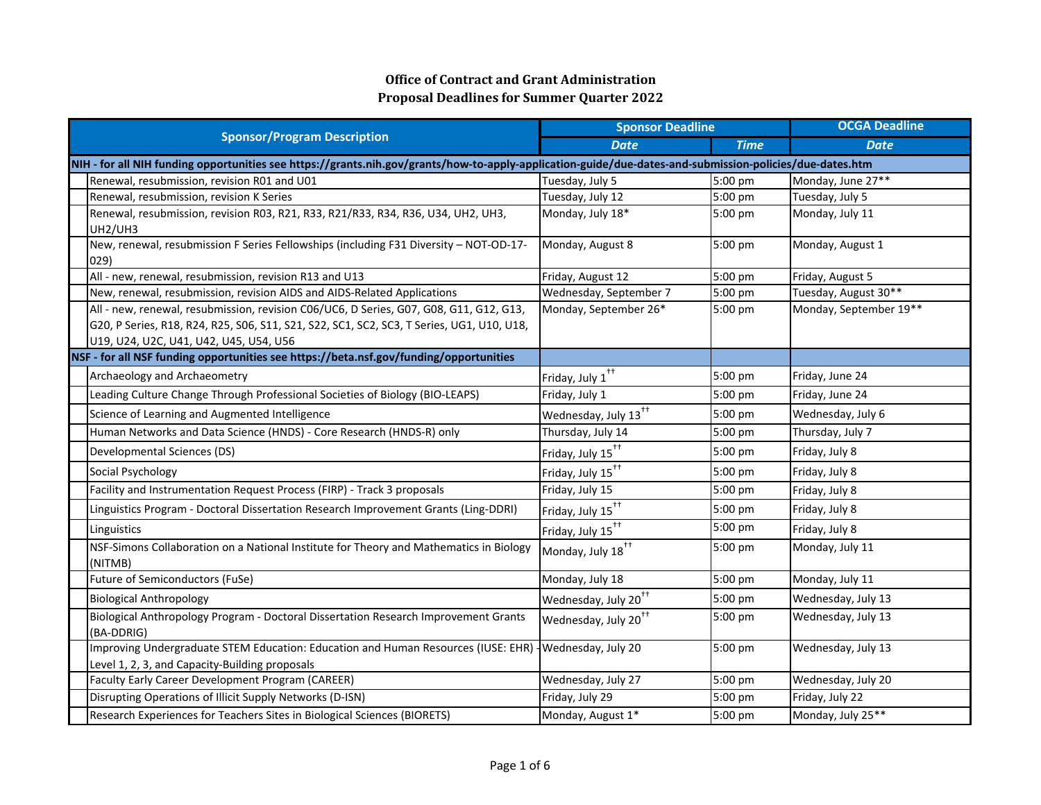|                                                                                                                                                                                                                               | <b>Sponsor Deadline</b>          |             | <b>OCGA Deadline</b>   |
|-------------------------------------------------------------------------------------------------------------------------------------------------------------------------------------------------------------------------------|----------------------------------|-------------|------------------------|
| <b>Sponsor/Program Description</b>                                                                                                                                                                                            | <b>Date</b>                      | <b>Time</b> | <b>Date</b>            |
| NIH - for all NIH funding opportunities see https://grants.nih.gov/grants/how-to-apply-application-guide/due-dates-and-submission-policies/due-dates.htm                                                                      |                                  |             |                        |
| Renewal, resubmission, revision R01 and U01                                                                                                                                                                                   | Tuesday, July 5                  | 5:00 pm     | Monday, June 27**      |
| Renewal, resubmission, revision K Series                                                                                                                                                                                      | Tuesday, July 12                 | 5:00 pm     | Tuesday, July 5        |
| Renewal, resubmission, revision R03, R21, R33, R21/R33, R34, R36, U34, UH2, UH3,<br>UH2/UH3                                                                                                                                   | Monday, July 18*                 | 5:00 pm     | Monday, July 11        |
| New, renewal, resubmission F Series Fellowships (including F31 Diversity - NOT-OD-17-<br>029)                                                                                                                                 | Monday, August 8                 | 5:00 pm     | Monday, August 1       |
| All - new, renewal, resubmission, revision R13 and U13                                                                                                                                                                        | Friday, August 12                | 5:00 pm     | Friday, August 5       |
| New, renewal, resubmission, revision AIDS and AIDS-Related Applications                                                                                                                                                       | Wednesday, September 7           | 5:00 pm     | Tuesday, August 30**   |
| All - new, renewal, resubmission, revision C06/UC6, D Series, G07, G08, G11, G12, G13,<br>G20, P Series, R18, R24, R25, S06, S11, S21, S22, SC1, SC2, SC3, T Series, UG1, U10, U18,<br>U19, U24, U2C, U41, U42, U45, U54, U56 | Monday, September 26*            | 5:00 pm     | Monday, September 19** |
| NSF - for all NSF funding opportunities see https://beta.nsf.gov/funding/opportunities                                                                                                                                        |                                  |             |                        |
| Archaeology and Archaeometry                                                                                                                                                                                                  | Friday, July $1^{++}$            | 5:00 pm     | Friday, June 24        |
| Leading Culture Change Through Professional Societies of Biology (BIO-LEAPS)                                                                                                                                                  | Friday, July 1                   | 5:00 pm     | Friday, June 24        |
| Science of Learning and Augmented Intelligence                                                                                                                                                                                | Wednesday, July 13 <sup>++</sup> | 5:00 pm     | Wednesday, July 6      |
| Human Networks and Data Science (HNDS) - Core Research (HNDS-R) only                                                                                                                                                          | Thursday, July 14                | 5:00 pm     | Thursday, July 7       |
| Developmental Sciences (DS)                                                                                                                                                                                                   | Friday, July 15 <sup>++</sup>    | 5:00 pm     | Friday, July 8         |
| Social Psychology                                                                                                                                                                                                             | Friday, July 15 <sup>++</sup>    | 5:00 pm     | Friday, July 8         |
| Facility and Instrumentation Request Process (FIRP) - Track 3 proposals                                                                                                                                                       | Friday, July 15                  | 5:00 pm     | Friday, July 8         |
| Linguistics Program - Doctoral Dissertation Research Improvement Grants (Ling-DDRI)                                                                                                                                           | Friday, July 15 <sup>++</sup>    | 5:00 pm     | Friday, July 8         |
| Linguistics                                                                                                                                                                                                                   | Friday, July 15 <sup>++</sup>    | 5:00 pm     | Friday, July 8         |
| NSF-Simons Collaboration on a National Institute for Theory and Mathematics in Biology<br>(NITMB)                                                                                                                             | Monday, July 18 <sup>++</sup>    | 5:00 pm     | Monday, July 11        |
| Future of Semiconductors (FuSe)                                                                                                                                                                                               | Monday, July 18                  | 5:00 pm     | Monday, July 11        |
| <b>Biological Anthropology</b>                                                                                                                                                                                                | Wednesday, July 20 <sup>++</sup> | 5:00 pm     | Wednesday, July 13     |
| Biological Anthropology Program - Doctoral Dissertation Research Improvement Grants<br>(BA-DDRIG)                                                                                                                             | Wednesday, July 20 <sup>++</sup> | 5:00 pm     | Wednesday, July 13     |
| Improving Undergraduate STEM Education: Education and Human Resources (IUSE: EHR)<br>Level 1, 2, 3, and Capacity-Building proposals                                                                                           | -Wednesday, July 20              | 5:00 pm     | Wednesday, July 13     |
| Faculty Early Career Development Program (CAREER)                                                                                                                                                                             | Wednesday, July 27               | 5:00 pm     | Wednesday, July 20     |
| Disrupting Operations of Illicit Supply Networks (D-ISN)                                                                                                                                                                      | Friday, July 29                  | 5:00 pm     | Friday, July 22        |
| Research Experiences for Teachers Sites in Biological Sciences (BIORETS)                                                                                                                                                      | Monday, August 1*                | 5:00 pm     | Monday, July 25**      |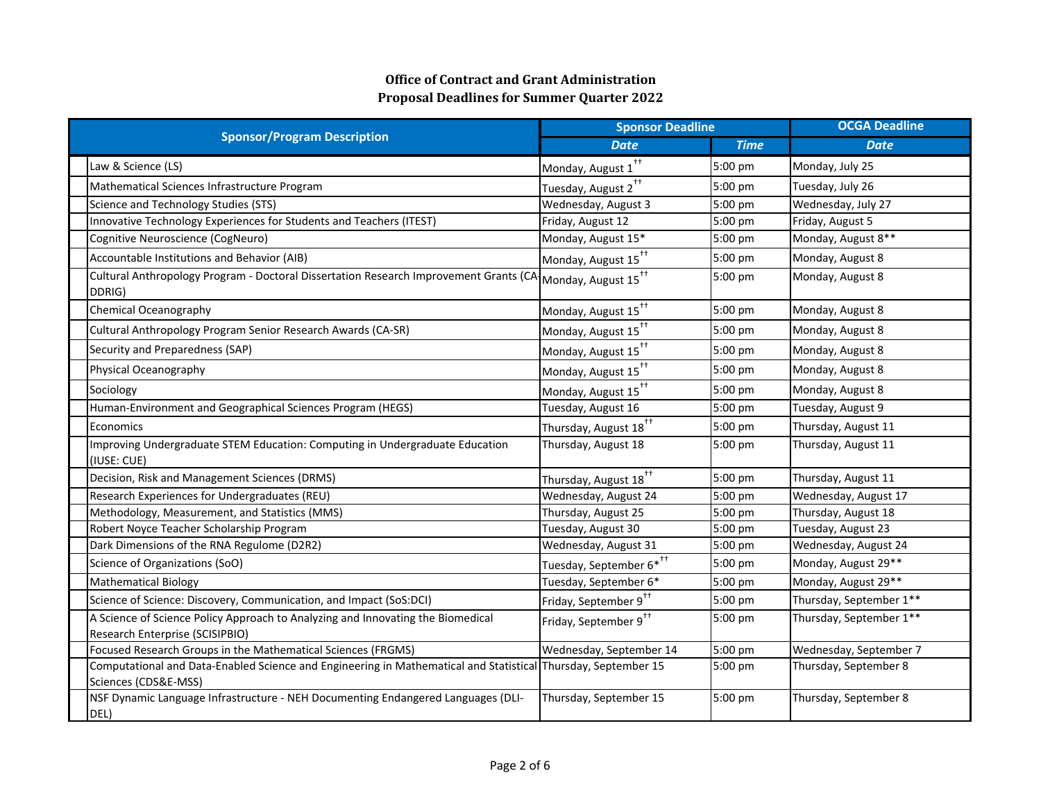| <b>Sponsor/Program Description</b>                                                                                                    | <b>Sponsor Deadline</b>             |             | <b>OCGA Deadline</b>    |  |
|---------------------------------------------------------------------------------------------------------------------------------------|-------------------------------------|-------------|-------------------------|--|
|                                                                                                                                       | <b>Date</b>                         | <b>Time</b> | <b>Date</b>             |  |
| Law & Science (LS)                                                                                                                    | Monday, August 1 <sup>++</sup>      | 5:00 pm     | Monday, July 25         |  |
| Mathematical Sciences Infrastructure Program                                                                                          | Tuesday, August 2 <sup>++</sup>     | 5:00 pm     | Tuesday, July 26        |  |
| Science and Technology Studies (STS)                                                                                                  | Wednesday, August 3                 | 5:00 pm     | Wednesday, July 27      |  |
| Innovative Technology Experiences for Students and Teachers (ITEST)                                                                   | Friday, August 12                   | 5:00 pm     | Friday, August 5        |  |
| Cognitive Neuroscience (CogNeuro)                                                                                                     | Monday, August 15*                  | 5:00 pm     | Monday, August 8**      |  |
| Accountable Institutions and Behavior (AIB)                                                                                           | Monday, August 15 <sup>++</sup>     | 5:00 pm     | Monday, August 8        |  |
| Cultural Anthropology Program - Doctoral Dissertation Research Improvement Grants (CA Monday, August 15 <sup>++</sup><br>DDRIG)       |                                     | 5:00 pm     | Monday, August 8        |  |
| Chemical Oceanography                                                                                                                 | Monday, August 15 <sup>++</sup>     | 5:00 pm     | Monday, August 8        |  |
| Cultural Anthropology Program Senior Research Awards (CA-SR)                                                                          | Monday, August 15 <sup>++</sup>     | 5:00 pm     | Monday, August 8        |  |
| Security and Preparedness (SAP)                                                                                                       | Monday, August 15 <sup>++</sup>     | 5:00 pm     | Monday, August 8        |  |
| Physical Oceanography                                                                                                                 | Monday, August 15 <sup>++</sup>     | 5:00 pm     | Monday, August 8        |  |
| Sociology                                                                                                                             | Monday, August 15 <sup>++</sup>     | 5:00 pm     | Monday, August 8        |  |
| Human-Environment and Geographical Sciences Program (HEGS)                                                                            | Tuesday, August 16                  | 5:00 pm     | Tuesday, August 9       |  |
| Economics                                                                                                                             | Thursday, August 18 <sup>++</sup>   | 5:00 pm     | Thursday, August 11     |  |
| Improving Undergraduate STEM Education: Computing in Undergraduate Education<br>(IUSE: CUE)                                           | Thursday, August 18                 | 5:00 pm     | Thursday, August 11     |  |
| Decision, Risk and Management Sciences (DRMS)                                                                                         | Thursday, August 18 <sup>++</sup>   | 5:00 pm     | Thursday, August 11     |  |
| Research Experiences for Undergraduates (REU)                                                                                         | Wednesday, August 24                | 5:00 pm     | Wednesday, August 17    |  |
| Methodology, Measurement, and Statistics (MMS)                                                                                        | Thursday, August 25                 | 5:00 pm     | Thursday, August 18     |  |
| Robert Noyce Teacher Scholarship Program                                                                                              | Tuesday, August 30                  | 5:00 pm     | Tuesday, August 23      |  |
| Dark Dimensions of the RNA Regulome (D2R2)                                                                                            | Wednesday, August 31                | 5:00 pm     | Wednesday, August 24    |  |
| Science of Organizations (SoO)                                                                                                        | Tuesday, September 6* <sup>††</sup> | 5:00 pm     | Monday, August 29**     |  |
| <b>Mathematical Biology</b>                                                                                                           | Tuesday, September 6*               | 5:00 pm     | Monday, August 29**     |  |
| Science of Science: Discovery, Communication, and Impact (SoS:DCI)                                                                    | Friday, September 9 <sup>++</sup>   | 5:00 pm     | Thursday, September 1** |  |
| A Science of Science Policy Approach to Analyzing and Innovating the Biomedical<br>Research Enterprise (SCISIPBIO)                    | Friday, September 9 <sup>++</sup>   | 5:00 pm     | Thursday, September 1** |  |
| Focused Research Groups in the Mathematical Sciences (FRGMS)                                                                          | Wednesday, September 14             | 5:00 pm     | Wednesday, September 7  |  |
| Computational and Data-Enabled Science and Engineering in Mathematical and Statistical Thursday, September 15<br>Sciences (CDS&E-MSS) |                                     | 5:00 pm     | Thursday, September 8   |  |
| NSF Dynamic Language Infrastructure - NEH Documenting Endangered Languages (DLI-<br>DEL)                                              | Thursday, September 15              | 5:00 pm     | Thursday, September 8   |  |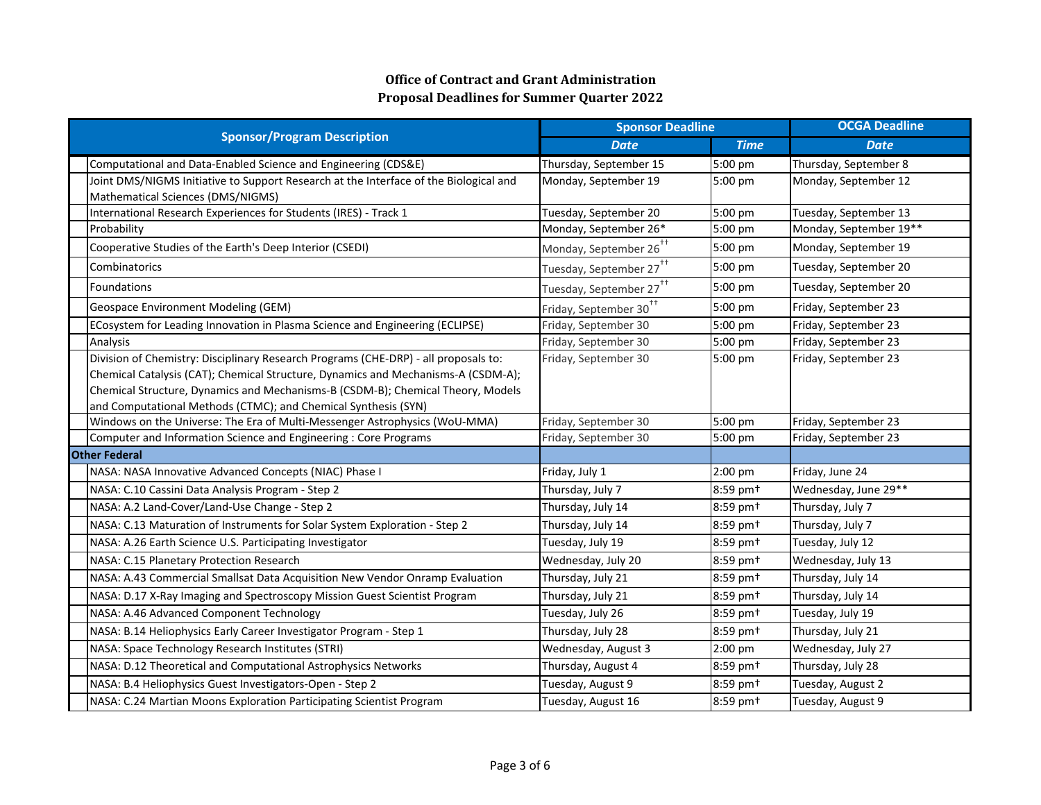| <b>Sponsor/Program Description</b>                                                    | <b>Sponsor Deadline</b>             |                      | <b>OCGA Deadline</b>   |  |
|---------------------------------------------------------------------------------------|-------------------------------------|----------------------|------------------------|--|
|                                                                                       | <b>Date</b>                         | <b>Time</b>          | <b>Date</b>            |  |
| Computational and Data-Enabled Science and Engineering (CDS&E)                        | Thursday, September 15              | 5:00 pm              | Thursday, September 8  |  |
| Joint DMS/NIGMS Initiative to Support Research at the Interface of the Biological and | Monday, September 19                | 5:00 pm              | Monday, September 12   |  |
| Mathematical Sciences (DMS/NIGMS)                                                     |                                     |                      |                        |  |
| International Research Experiences for Students (IRES) - Track 1                      | Tuesday, September 20               | 5:00 pm              | Tuesday, September 13  |  |
| Probability                                                                           | Monday, September 26*               | 5:00 pm              | Monday, September 19** |  |
| Cooperative Studies of the Earth's Deep Interior (CSEDI)                              | Monday, September 26 <sup>++</sup>  | 5:00 pm              | Monday, September 19   |  |
| Combinatorics                                                                         | Tuesday, September 27 <sup>††</sup> | 5:00 pm              | Tuesday, September 20  |  |
| Foundations                                                                           | Tuesday, September 27 <sup>++</sup> | 5:00 pm              | Tuesday, September 20  |  |
| Geospace Environment Modeling (GEM)                                                   | Friday, September 30 <sup>++</sup>  | 5:00 pm              | Friday, September 23   |  |
| ECosystem for Leading Innovation in Plasma Science and Engineering (ECLIPSE)          | Friday, September 30                | 5:00 pm              | Friday, September 23   |  |
| Analysis                                                                              | Friday, September 30                | 5:00 pm              | Friday, September 23   |  |
| Division of Chemistry: Disciplinary Research Programs (CHE-DRP) - all proposals to:   | Friday, September 30                | 5:00 pm              | Friday, September 23   |  |
| Chemical Catalysis (CAT); Chemical Structure, Dynamics and Mechanisms-A (CSDM-A);     |                                     |                      |                        |  |
| Chemical Structure, Dynamics and Mechanisms-B (CSDM-B); Chemical Theory, Models       |                                     |                      |                        |  |
| and Computational Methods (CTMC); and Chemical Synthesis (SYN)                        |                                     |                      |                        |  |
| Windows on the Universe: The Era of Multi-Messenger Astrophysics (WoU-MMA)            | Friday, September 30                | 5:00 pm              | Friday, September 23   |  |
| Computer and Information Science and Engineering : Core Programs                      | Friday, September 30                | 5:00 pm              | Friday, September 23   |  |
| <b>Other Federal</b>                                                                  |                                     |                      |                        |  |
| NASA: NASA Innovative Advanced Concepts (NIAC) Phase I                                | Friday, July 1                      | 2:00 pm              | Friday, June 24        |  |
| NASA: C.10 Cassini Data Analysis Program - Step 2                                     | Thursday, July 7                    | 8:59 pm <sup>+</sup> | Wednesday, June 29**   |  |
| NASA: A.2 Land-Cover/Land-Use Change - Step 2                                         | Thursday, July 14                   | 8:59 pm <sup>+</sup> | Thursday, July 7       |  |
| NASA: C.13 Maturation of Instruments for Solar System Exploration - Step 2            | Thursday, July 14                   | 8:59 pm <sup>+</sup> | Thursday, July 7       |  |
| NASA: A.26 Earth Science U.S. Participating Investigator                              | Tuesday, July 19                    | 8:59 pm <sup>+</sup> | Tuesday, July 12       |  |
| NASA: C.15 Planetary Protection Research                                              | Wednesday, July 20                  | 8:59 pm <sup>+</sup> | Wednesday, July 13     |  |
| NASA: A.43 Commercial Smallsat Data Acquisition New Vendor Onramp Evaluation          | Thursday, July 21                   | 8:59 pm <sup>+</sup> | Thursday, July 14      |  |
| NASA: D.17 X-Ray Imaging and Spectroscopy Mission Guest Scientist Program             | Thursday, July 21                   | 8:59 pm+             | Thursday, July 14      |  |
| NASA: A.46 Advanced Component Technology                                              | Tuesday, July 26                    | 8:59 pm <sup>+</sup> | Tuesday, July 19       |  |
| NASA: B.14 Heliophysics Early Career Investigator Program - Step 1                    | Thursday, July 28                   | 8:59 pm <sup>+</sup> | Thursday, July 21      |  |
| NASA: Space Technology Research Institutes (STRI)                                     | Wednesday, August 3                 | 2:00 pm              | Wednesday, July 27     |  |
| NASA: D.12 Theoretical and Computational Astrophysics Networks                        | Thursday, August 4                  | 8:59 pm <sup>+</sup> | Thursday, July 28      |  |
| NASA: B.4 Heliophysics Guest Investigators-Open - Step 2                              | Tuesday, August 9                   | 8:59 pm <sup>+</sup> | Tuesday, August 2      |  |
| NASA: C.24 Martian Moons Exploration Participating Scientist Program                  | Tuesday, August 16                  | 8:59 pm <sup>+</sup> | Tuesday, August 9      |  |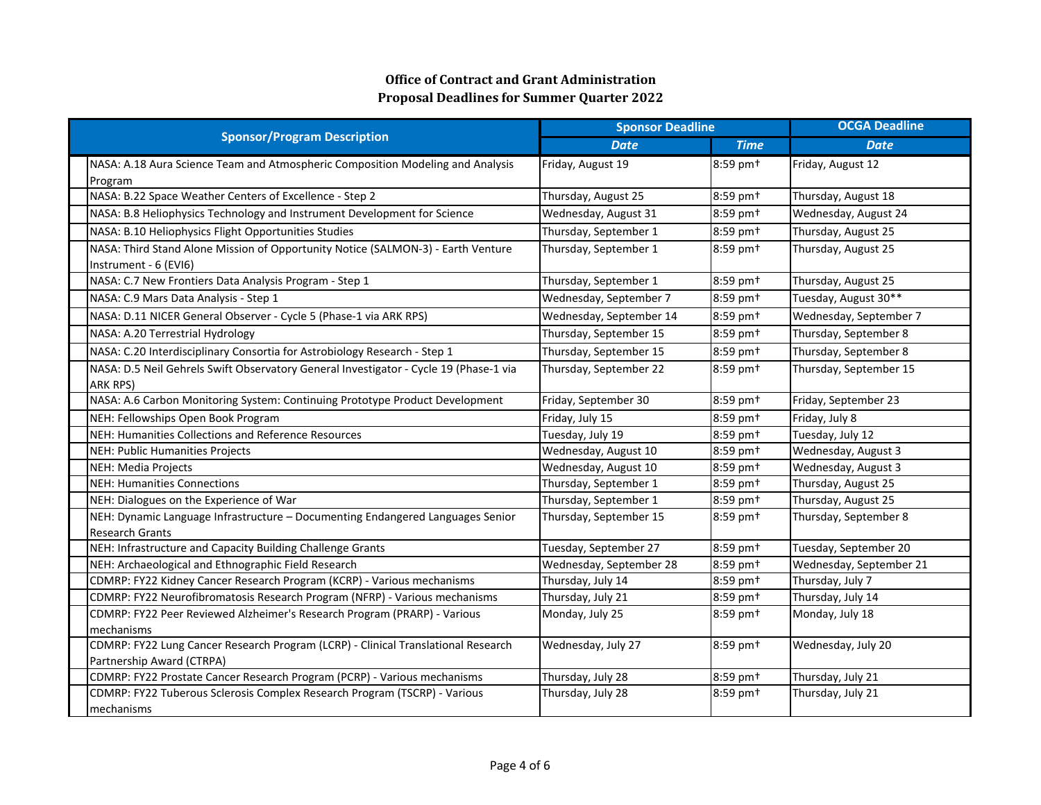|                                                                                                                |                         | <b>Sponsor Deadline</b> | <b>OCGA Deadline</b>    |  |
|----------------------------------------------------------------------------------------------------------------|-------------------------|-------------------------|-------------------------|--|
| <b>Sponsor/Program Description</b>                                                                             | <b>Date</b>             | <b>Time</b>             | <b>Date</b>             |  |
| NASA: A.18 Aura Science Team and Atmospheric Composition Modeling and Analysis                                 | Friday, August 19       | 8:59 pm <sup>+</sup>    | Friday, August 12       |  |
| Program                                                                                                        |                         |                         |                         |  |
| NASA: B.22 Space Weather Centers of Excellence - Step 2                                                        | Thursday, August 25     | 8:59 pm <sup>+</sup>    | Thursday, August 18     |  |
| NASA: B.8 Heliophysics Technology and Instrument Development for Science                                       | Wednesday, August 31    | 8:59 pm+                | Wednesday, August 24    |  |
| NASA: B.10 Heliophysics Flight Opportunities Studies                                                           | Thursday, September 1   | 8:59 pm <sup>+</sup>    | Thursday, August 25     |  |
| NASA: Third Stand Alone Mission of Opportunity Notice (SALMON-3) - Earth Venture                               | Thursday, September 1   | 8:59 pm <sup>+</sup>    | Thursday, August 25     |  |
| Instrument - 6 (EVI6)                                                                                          |                         |                         |                         |  |
| NASA: C.7 New Frontiers Data Analysis Program - Step 1                                                         | Thursday, September 1   | 8:59 pm <sup>+</sup>    | Thursday, August 25     |  |
| NASA: C.9 Mars Data Analysis - Step 1                                                                          | Wednesday, September 7  | 8:59 pm <sup>+</sup>    | Tuesday, August 30**    |  |
| NASA: D.11 NICER General Observer - Cycle 5 (Phase-1 via ARK RPS)                                              | Wednesday, September 14 | 8:59 pm <sup>+</sup>    | Wednesday, September 7  |  |
| NASA: A.20 Terrestrial Hydrology                                                                               | Thursday, September 15  | 8:59 pm <sup>+</sup>    | Thursday, September 8   |  |
| NASA: C.20 Interdisciplinary Consortia for Astrobiology Research - Step 1                                      | Thursday, September 15  | 8:59 pm <sup>+</sup>    | Thursday, September 8   |  |
| NASA: D.5 Neil Gehrels Swift Observatory General Investigator - Cycle 19 (Phase-1 via                          | Thursday, September 22  | 8:59 pm <sup>+</sup>    | Thursday, September 15  |  |
| <b>ARK RPS)</b>                                                                                                |                         |                         |                         |  |
| NASA: A.6 Carbon Monitoring System: Continuing Prototype Product Development                                   | Friday, September 30    | 8:59 pm <sup>+</sup>    | Friday, September 23    |  |
| NEH: Fellowships Open Book Program                                                                             | Friday, July 15         | 8:59 pm <sup>+</sup>    | Friday, July 8          |  |
| NEH: Humanities Collections and Reference Resources                                                            | Tuesday, July 19        | 8:59 pm <sup>+</sup>    | Tuesday, July 12        |  |
| NEH: Public Humanities Projects                                                                                | Wednesday, August 10    | 8:59 pm <sup>+</sup>    | Wednesday, August 3     |  |
| NEH: Media Projects                                                                                            | Wednesday, August 10    | 8:59 pm <sup>+</sup>    | Wednesday, August 3     |  |
| <b>NEH: Humanities Connections</b>                                                                             | Thursday, September 1   | 8:59 pm <sup>+</sup>    | Thursday, August 25     |  |
| NEH: Dialogues on the Experience of War                                                                        | Thursday, September 1   | 8:59 pm <sup>+</sup>    | Thursday, August 25     |  |
| NEH: Dynamic Language Infrastructure - Documenting Endangered Languages Senior                                 | Thursday, September 15  | 8:59 pm <sup>+</sup>    | Thursday, September 8   |  |
| Research Grants                                                                                                |                         |                         |                         |  |
| NEH: Infrastructure and Capacity Building Challenge Grants                                                     | Tuesday, September 27   | 8:59 pm <sup>+</sup>    | Tuesday, September 20   |  |
| NEH: Archaeological and Ethnographic Field Research                                                            | Wednesday, September 28 | 8:59 pm+                | Wednesday, September 21 |  |
| CDMRP: FY22 Kidney Cancer Research Program (KCRP) - Various mechanisms                                         | Thursday, July 14       | 8:59 pm <sup>+</sup>    | Thursday, July 7        |  |
| CDMRP: FY22 Neurofibromatosis Research Program (NFRP) - Various mechanisms                                     | Thursday, July 21       | 8:59 pm <sup>+</sup>    | Thursday, July 14       |  |
| CDMRP: FY22 Peer Reviewed Alzheimer's Research Program (PRARP) - Various                                       | Monday, July 25         | 8:59 pm <sup>+</sup>    | Monday, July 18         |  |
| mechanisms                                                                                                     |                         | 8:59 pm <sup>+</sup>    |                         |  |
| CDMRP: FY22 Lung Cancer Research Program (LCRP) - Clinical Translational Research<br>Partnership Award (CTRPA) | Wednesday, July 27      |                         | Wednesday, July 20      |  |
| CDMRP: FY22 Prostate Cancer Research Program (PCRP) - Various mechanisms                                       | Thursday, July 28       | 8:59 pm <sup>+</sup>    | Thursday, July 21       |  |
| CDMRP: FY22 Tuberous Sclerosis Complex Research Program (TSCRP) - Various                                      | Thursday, July 28       | 8:59 pm <sup>+</sup>    | Thursday, July 21       |  |
| mechanisms                                                                                                     |                         |                         |                         |  |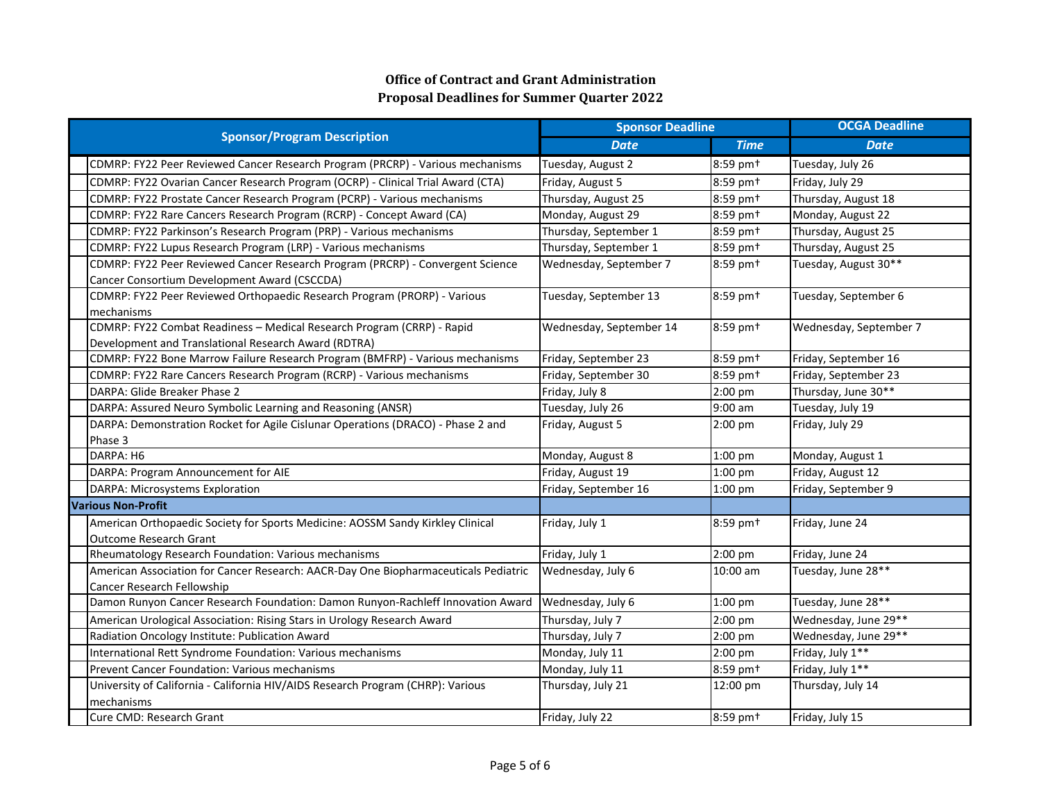| <b>Sponsor/Program Description</b>                                                  | <b>Sponsor Deadline</b> |                      | <b>OCGA Deadline</b>   |
|-------------------------------------------------------------------------------------|-------------------------|----------------------|------------------------|
|                                                                                     | <b>Date</b>             | <b>Time</b>          | <b>Date</b>            |
| CDMRP: FY22 Peer Reviewed Cancer Research Program (PRCRP) - Various mechanisms      | Tuesday, August 2       | 8:59 pm <sup>+</sup> | Tuesday, July 26       |
| CDMRP: FY22 Ovarian Cancer Research Program (OCRP) - Clinical Trial Award (CTA)     | Friday, August 5        | 8:59 pm <sup>+</sup> | Friday, July 29        |
| CDMRP: FY22 Prostate Cancer Research Program (PCRP) - Various mechanisms            | Thursday, August 25     | 8:59 pm+             | Thursday, August 18    |
| CDMRP: FY22 Rare Cancers Research Program (RCRP) - Concept Award (CA)               | Monday, August 29       | 8:59 pm+             | Monday, August 22      |
| CDMRP: FY22 Parkinson's Research Program (PRP) - Various mechanisms                 | Thursday, September 1   | 8:59 pm+             | Thursday, August 25    |
| CDMRP: FY22 Lupus Research Program (LRP) - Various mechanisms                       | Thursday, September 1   | 8:59 pm+             | Thursday, August 25    |
| CDMRP: FY22 Peer Reviewed Cancer Research Program (PRCRP) - Convergent Science      | Wednesday, September 7  | 8:59 pm <sup>+</sup> | Tuesday, August 30**   |
| Cancer Consortium Development Award (CSCCDA)                                        |                         |                      |                        |
| CDMRP: FY22 Peer Reviewed Orthopaedic Research Program (PRORP) - Various            | Tuesday, September 13   | 8:59 pm <sup>+</sup> | Tuesday, September 6   |
| mechanisms                                                                          |                         |                      |                        |
| CDMRP: FY22 Combat Readiness - Medical Research Program (CRRP) - Rapid              | Wednesday, September 14 | 8:59 pm <sup>+</sup> | Wednesday, September 7 |
| Development and Translational Research Award (RDTRA)                                |                         |                      |                        |
| CDMRP: FY22 Bone Marrow Failure Research Program (BMFRP) - Various mechanisms       | Friday, September 23    | 8:59 pm <sup>+</sup> | Friday, September 16   |
| CDMRP: FY22 Rare Cancers Research Program (RCRP) - Various mechanisms               | Friday, September 30    | 8:59 pm <sup>+</sup> | Friday, September 23   |
| DARPA: Glide Breaker Phase 2                                                        | Friday, July 8          | 2:00 pm              | Thursday, June 30**    |
| DARPA: Assured Neuro Symbolic Learning and Reasoning (ANSR)                         | Tuesday, July 26        | 9:00 am              | Tuesday, July 19       |
| DARPA: Demonstration Rocket for Agile Cislunar Operations (DRACO) - Phase 2 and     | Friday, August 5        | $2:00$ pm            | Friday, July 29        |
| Phase 3                                                                             |                         |                      |                        |
| DARPA: H6                                                                           | Monday, August 8        | 1:00 pm              | Monday, August 1       |
| DARPA: Program Announcement for AIE                                                 | Friday, August 19       | 1:00 pm              | Friday, August 12      |
| DARPA: Microsystems Exploration                                                     | Friday, September 16    | 1:00 pm              | Friday, September 9    |
| <b>Various Non-Profit</b>                                                           |                         |                      |                        |
| American Orthopaedic Society for Sports Medicine: AOSSM Sandy Kirkley Clinical      | Friday, July 1          | 8:59 pm <sup>+</sup> | Friday, June 24        |
| <b>Outcome Research Grant</b>                                                       |                         |                      |                        |
| Rheumatology Research Foundation: Various mechanisms                                | Friday, July 1          | 2:00 pm              | Friday, June 24        |
| American Association for Cancer Research: AACR-Day One Biopharmaceuticals Pediatric | Wednesday, July 6       | 10:00 am             | Tuesday, June 28**     |
| <b>Cancer Research Fellowship</b>                                                   |                         |                      |                        |
| Damon Runyon Cancer Research Foundation: Damon Runyon-Rachleff Innovation Award     | Wednesday, July 6       | 1:00 pm              | Tuesday, June 28**     |
| American Urological Association: Rising Stars in Urology Research Award             | Thursday, July 7        | 2:00 pm              | Wednesday, June 29**   |
| Radiation Oncology Institute: Publication Award                                     | Thursday, July 7        | 2:00 pm              | Wednesday, June 29**   |
| International Rett Syndrome Foundation: Various mechanisms                          | Monday, July 11         | 2:00 pm              | Friday, July 1**       |
| <b>Prevent Cancer Foundation: Various mechanisms</b>                                | Monday, July 11         | 8:59 pm <sup>+</sup> | Friday, July 1**       |
| University of California - California HIV/AIDS Research Program (CHRP): Various     | Thursday, July 21       | 12:00 pm             | Thursday, July 14      |
| mechanisms                                                                          |                         |                      |                        |
| Cure CMD: Research Grant                                                            | Friday, July 22         | 8:59 pm+             | Friday, July 15        |